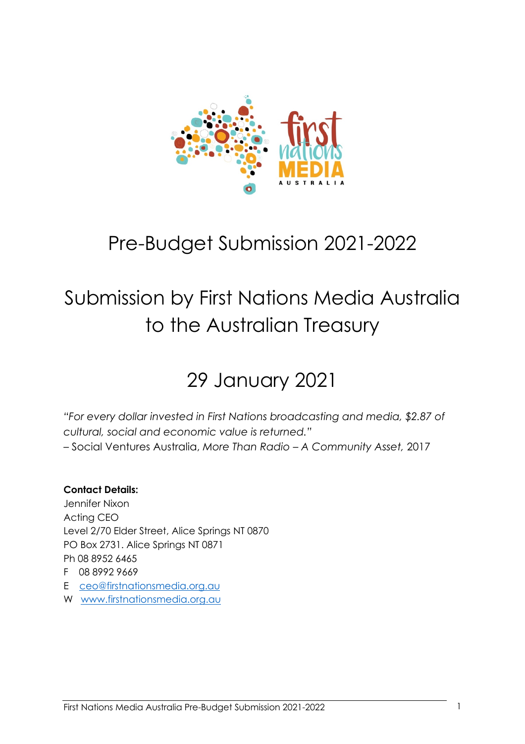

# Pre-Budget Submission 2021-2022

# Submission by First Nations Media Australia to the Australian Treasury

# 29 January 2021

*"For every dollar invested in First Nations broadcasting and media, \$2.87 of cultural, social and economic value is returned."* 

– Social Ventures Australia, *More Than Radio – A Community Asset,* 2017

**Contact Details:** Jennifer Nixon Acting CEO Level 2/70 Elder Street, Alice Springs NT 0870 PO Box 2731. Alice Springs NT 0871 Ph 08 8952 6465 F 08 8992 9669

- E ceo@firstnationsmedia.org.au
- W www.firstnationsmedia.org.au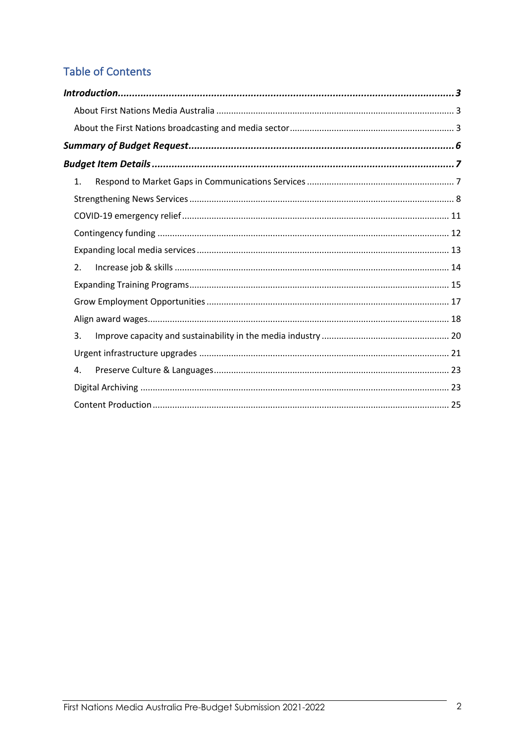# **Table of Contents**

| 1. |  |
|----|--|
|    |  |
|    |  |
|    |  |
|    |  |
| 2. |  |
|    |  |
|    |  |
|    |  |
| 3. |  |
|    |  |
| 4. |  |
|    |  |
|    |  |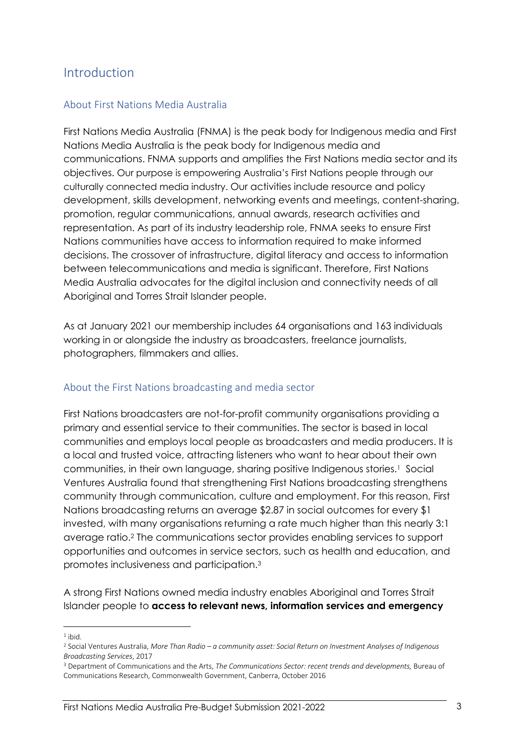# Introduction

#### About First Nations Media Australia

First Nations Media Australia (FNMA) is the peak body for Indigenous media and First Nations Media Australia is the peak body for Indigenous media and communications. FNMA supports and amplifies the First Nations media sector and its objectives. Our purpose is empowering Australia's First Nations people through our culturally connected media industry. Our activities include resource and policy development, skills development, networking events and meetings, content-sharing, promotion, regular communications, annual awards, research activities and representation. As part of its industry leadership role, FNMA seeks to ensure First Nations communities have access to information required to make informed decisions. The crossover of infrastructure, digital literacy and access to information between telecommunications and media is significant. Therefore, First Nations Media Australia advocates for the digital inclusion and connectivity needs of all Aboriginal and Torres Strait Islander people.

As at January 2021 our membership includes 64 organisations and 163 individuals working in or alongside the industry as broadcasters, freelance journalists, photographers, filmmakers and allies.

## About the First Nations broadcasting and media sector

First Nations broadcasters are not-for-profit community organisations providing a primary and essential service to their communities. The sector is based in local communities and employs local people as broadcasters and media producers. It is a local and trusted voice, attracting listeners who want to hear about their own communities, in their own language, sharing positive Indigenous stories.1 Social Ventures Australia found that strengthening First Nations broadcasting strengthens community through communication, culture and employment. For this reason, First Nations broadcasting returns an average \$2.87 in social outcomes for every \$1 invested, with many organisations returning a rate much higher than this nearly 3:1 average ratio.2 The communications sector provides enabling services to support opportunities and outcomes in service sectors, such as health and education, and promotes inclusiveness and participation.3

A strong First Nations owned media industry enables Aboriginal and Torres Strait Islander people to **access to relevant news, information services and emergency** 

 $1$  ibid.

<sup>2</sup> Social Ventures Australia, *More Than Radio – a community asset: Social Return on Investment Analyses of Indigenous* 

*Broadcasting Services*, 2017<br><sup>3</sup> Department of Communications and the Arts, *The Communications Sector: recent trends and developments*, Bureau of Communications Research, Commonwealth Government, Canberra, October 2016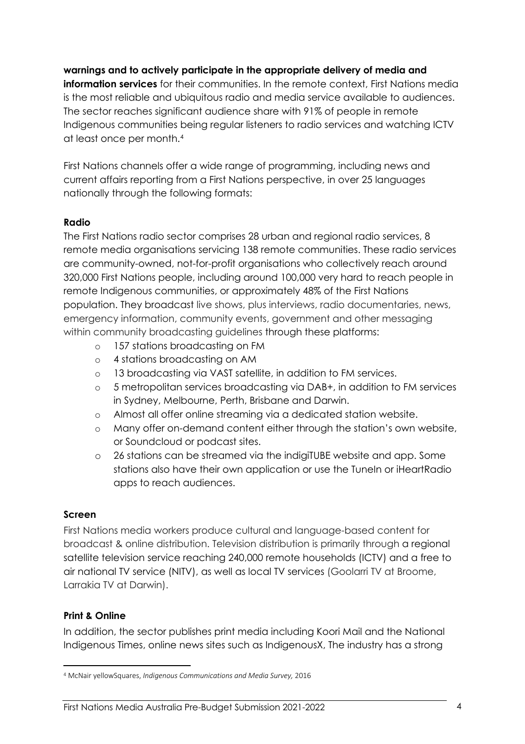## **warnings and to actively participate in the appropriate delivery of media and**

**information services** for their communities. In the remote context, First Nations media is the most reliable and ubiquitous radio and media service available to audiences. The sector reaches significant audience share with 91% of people in remote Indigenous communities being regular listeners to radio services and watching ICTV at least once per month.4

First Nations channels offer a wide range of programming, including news and current affairs reporting from a First Nations perspective, in over 25 languages nationally through the following formats:

#### **Radio**

The First Nations radio sector comprises 28 urban and regional radio services, 8 remote media organisations servicing 138 remote communities. These radio services are community-owned, not-for-profit organisations who collectively reach around 320,000 First Nations people, including around 100,000 very hard to reach people in remote Indigenous communities, or approximately 48% of the First Nations population. They broadcast live shows, plus interviews, radio documentaries, news, emergency information, community events, government and other messaging within community broadcasting guidelines through these platforms:

- o 157 stations broadcasting on FM
- o 4 stations broadcasting on AM
- o 13 broadcasting via VAST satellite, in addition to FM services.
- o 5 metropolitan services broadcasting via DAB+, in addition to FM services in Sydney, Melbourne, Perth, Brisbane and Darwin.
- o Almost all offer online streaming via a dedicated station website.
- o Many offer on-demand content either through the station's own website, or Soundcloud or podcast sites.
- o 26 stations can be streamed via the indigiTUBE website and app. Some stations also have their own application or use the TuneIn or iHeartRadio apps to reach audiences.

#### **Screen**

First Nations media workers produce cultural and language-based content for broadcast & online distribution. Television distribution is primarily through a regional satellite television service reaching 240,000 remote households (ICTV) and a free to air national TV service (NITV), as well as local TV services (Goolarri TV at Broome, Larrakia TV at Darwin).

#### **Print & Online**

In addition, the sector publishes print media including Koori Mail and the National Indigenous Times, online news sites such as IndigenousX, The industry has a strong

<sup>4</sup> McNair yellowSquares, *Indigenous Communications and Media Survey,* 2016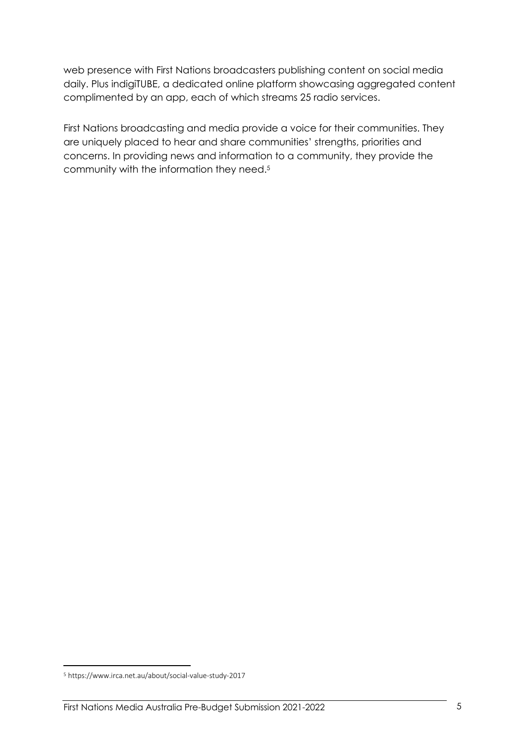web presence with First Nations broadcasters publishing content on social media daily. Plus indigiTUBE, a dedicated online platform showcasing aggregated content complimented by an app, each of which streams 25 radio services.

First Nations broadcasting and media provide a voice for their communities. They are uniquely placed to hear and share communities' strengths, priorities and concerns. In providing news and information to a community, they provide the community with the information they need. 5

<sup>5</sup> https://www.irca.net.au/about/social-value-study-2017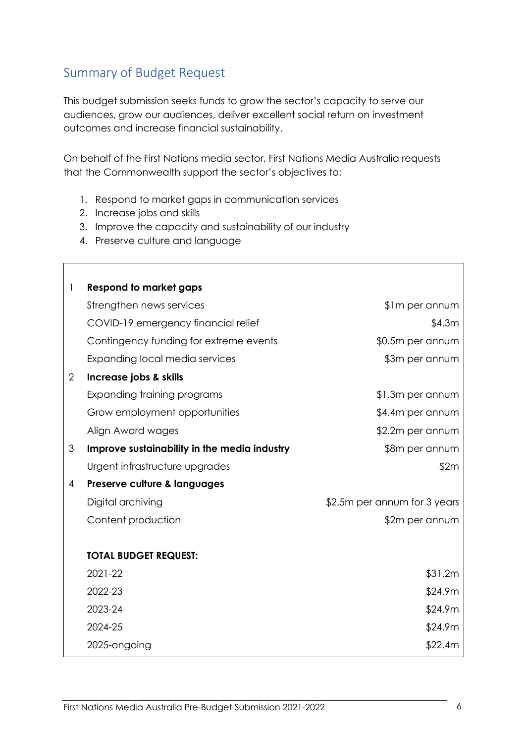# Summary of Budget Request

This budget submission seeks funds to grow the sector's capacity to serve our audiences, grow our audiences, deliver excellent social return on investment outcomes and increase financial sustainability.

On behalf of the First Nations media sector, First Nations Media Australia requests that the Commonwealth support the sector's objectives to:

- 1. Respond to market gaps in communication services
- 2. Increase jobs and skills
- 3. Improve the capacity and sustainability of our industry
- 4. Preserve culture and language

|                | <b>Respond to market gaps</b>                |                              |
|----------------|----------------------------------------------|------------------------------|
|                | Strengthen news services                     | \$1m per annum               |
|                | COVID-19 emergency financial relief          | \$4.3m                       |
|                | Contingency funding for extreme events       | \$0.5m per annum             |
|                | Expanding local media services               | \$3m per annum               |
| $\overline{2}$ | Increase jobs & skills                       |                              |
|                | Expanding training programs                  | \$1.3m per annum             |
|                | Grow employment opportunities                | \$4.4m per annum             |
|                | Align Award wages                            | \$2.2m per annum             |
| 3              | Improve sustainability in the media industry | \$8m per annum               |
|                | Urgent infrastructure upgrades               | \$2m                         |
| 4              | Preserve culture & languages                 |                              |
|                | Digital archiving                            | \$2.5m per annum for 3 years |
|                | Content production                           | \$2m per annum               |
|                |                                              |                              |
|                | <b>TOTAL BUDGET REQUEST:</b>                 |                              |
|                | 2021-22                                      | \$31.2m                      |
|                | 2022-23                                      | \$24.9m                      |
|                | 2023-24                                      | \$24.9m                      |
|                | 2024-25                                      | \$24.9m                      |
|                | 2025-ongoing                                 | \$22.4m                      |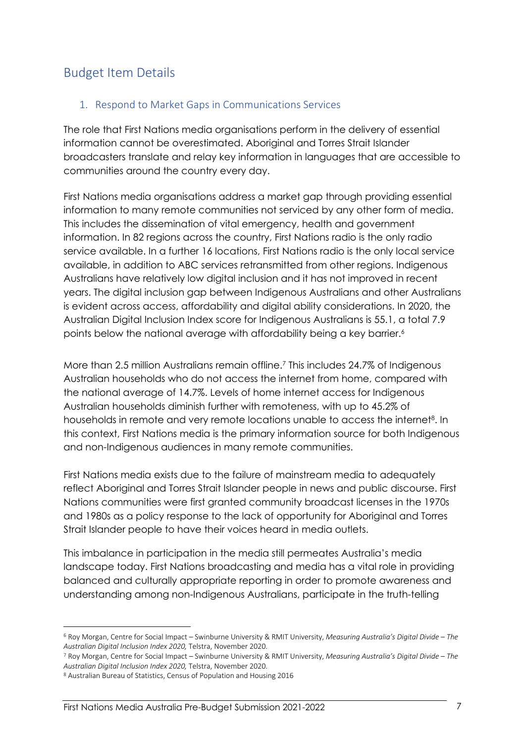# Budget Item Details

# 1. Respond to Market Gaps in Communications Services

The role that First Nations media organisations perform in the delivery of essential information cannot be overestimated. Aboriginal and Torres Strait Islander broadcasters translate and relay key information in languages that are accessible to communities around the country every day.

First Nations media organisations address a market gap through providing essential information to many remote communities not serviced by any other form of media. This includes the dissemination of vital emergency, health and government information. In 82 regions across the country, First Nations radio is the only radio service available. In a further 16 locations, First Nations radio is the only local service available, in addition to ABC services retransmitted from other regions. Indigenous Australians have relatively low digital inclusion and it has not improved in recent years. The digital inclusion gap between Indigenous Australians and other Australians is evident across access, affordability and digital ability considerations. In 2020, the Australian Digital Inclusion Index score for Indigenous Australians is 55.1, a total 7.9 points below the national average with affordability being a key barrier.6

More than 2.5 million Australians remain offline.7 This includes 24.7% of Indigenous Australian households who do not access the internet from home, compared with the national average of 14.7%. Levels of home internet access for Indigenous Australian households diminish further with remoteness, with up to 45.2% of households in remote and very remote locations unable to access the internet<sup>8</sup>. In this context, First Nations media is the primary information source for both Indigenous and non-Indigenous audiences in many remote communities.

First Nations media exists due to the failure of mainstream media to adequately reflect Aboriginal and Torres Strait Islander people in news and public discourse. First Nations communities were first granted community broadcast licenses in the 1970s and 1980s as a policy response to the lack of opportunity for Aboriginal and Torres Strait Islander people to have their voices heard in media outlets.

This imbalance in participation in the media still permeates Australia's media landscape today. First Nations broadcasting and media has a vital role in providing balanced and culturally appropriate reporting in order to promote awareness and understanding among non-Indigenous Australians, participate in the truth-telling

<sup>6</sup> Roy Morgan, Centre for Social Impact – Swinburne University & RMIT University, *Measuring Australia's Digital Divide – The Australian Digital Inclusion Index 2020,* Telstra, November 2020.

<sup>7</sup> Roy Morgan, Centre for Social Impact – Swinburne University & RMIT University, *Measuring Australia's Digital Divide – The Australian Digital Inclusion Index 2020,* Telstra, November 2020. 8 Australian Bureau of Statistics, Census of Population and Housing 2016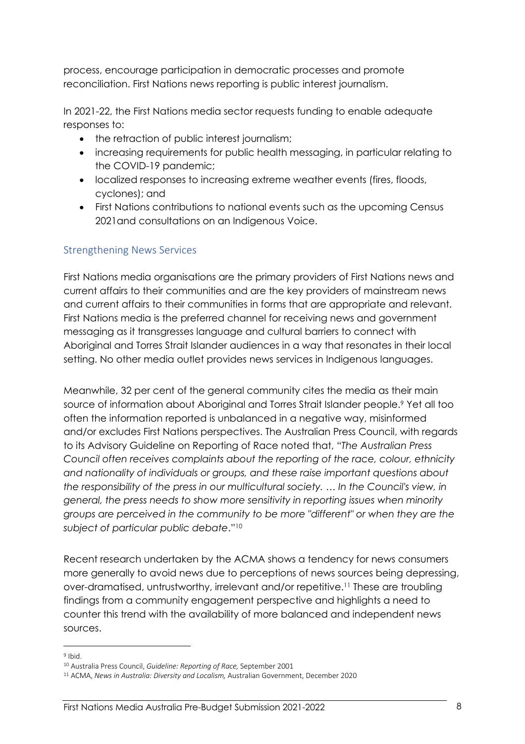process, encourage participation in democratic processes and promote reconciliation. First Nations news reporting is public interest journalism.

In 2021-22, the First Nations media sector requests funding to enable adequate responses to:

- the retraction of public interest journalism;
- increasing requirements for public health messaging, in particular relating to the COVID-19 pandemic;
- localized responses to increasing extreme weather events (fires, floods, cyclones); and
- First Nations contributions to national events such as the upcoming Census 2021and consultations on an Indigenous Voice.

#### Strengthening News Services

First Nations media organisations are the primary providers of First Nations news and current affairs to their communities and are the key providers of mainstream news and current affairs to their communities in forms that are appropriate and relevant. First Nations media is the preferred channel for receiving news and government messaging as it transgresses language and cultural barriers to connect with Aboriginal and Torres Strait Islander audiences in a way that resonates in their local setting. No other media outlet provides news services in Indigenous languages.

Meanwhile, 32 per cent of the general community cites the media as their main source of information about Aboriginal and Torres Strait Islander people.<sup>9</sup> Yet all too often the information reported is unbalanced in a negative way, misinformed and/or excludes First Nations perspectives. The Australian Press Council, with regards to its Advisory Guideline on Reporting of Race noted that, "*The Australian Press Council often receives complaints about the reporting of the race, colour, ethnicity and nationality of individuals or groups, and these raise important questions about the responsibility of the press in our multicultural society. … In the Council's view, in general, the press needs to show more sensitivity in reporting issues when minority groups are perceived in the community to be more "different" or when they are the subject of particular public debate*."10

Recent research undertaken by the ACMA shows a tendency for news consumers more generally to avoid news due to perceptions of news sources being depressing, over-dramatised, untrustworthy, irrelevant and/or repetitive.11 These are troubling findings from a community engagement perspective and highlights a need to counter this trend with the availability of more balanced and independent news sources.

<sup>9</sup> Ibid.

<sup>10</sup> Australia Press Council, *Guideline: Reporting of Race,* September 2001

<sup>11</sup> ACMA, *News in Australia: Diversity and Localism,* Australian Government, December 2020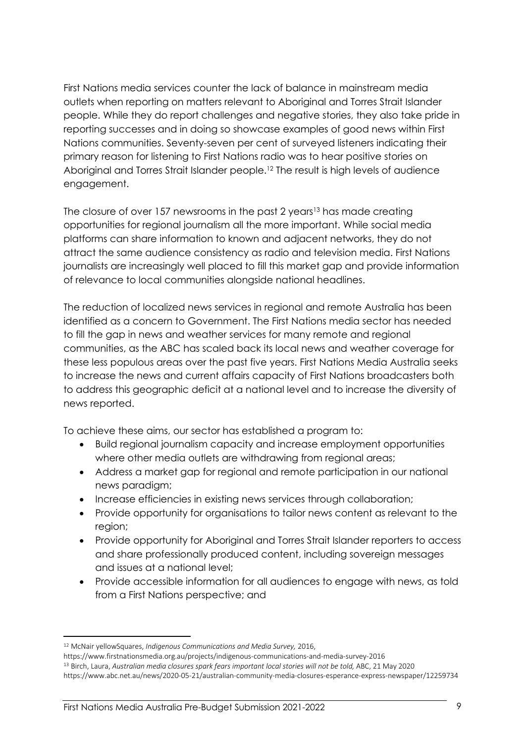First Nations media services counter the lack of balance in mainstream media outlets when reporting on matters relevant to Aboriginal and Torres Strait Islander people. While they do report challenges and negative stories, they also take pride in reporting successes and in doing so showcase examples of good news within First Nations communities. Seventy-seven per cent of surveyed listeners indicating their primary reason for listening to First Nations radio was to hear positive stories on Aboriginal and Torres Strait Islander people.12 The result is high levels of audience engagement.

The closure of over 157 newsrooms in the past 2 years<sup>13</sup> has made creating opportunities for regional journalism all the more important. While social media platforms can share information to known and adjacent networks, they do not attract the same audience consistency as radio and television media. First Nations journalists are increasingly well placed to fill this market gap and provide information of relevance to local communities alongside national headlines.

The reduction of localized news services in regional and remote Australia has been identified as a concern to Government. The First Nations media sector has needed to fill the gap in news and weather services for many remote and regional communities, as the ABC has scaled back its local news and weather coverage for these less populous areas over the past five years. First Nations Media Australia seeks to increase the news and current affairs capacity of First Nations broadcasters both to address this geographic deficit at a national level and to increase the diversity of news reported.

To achieve these aims, our sector has established a program to:

- Build regional journalism capacity and increase employment opportunities where other media outlets are withdrawing from regional areas;
- Address a market gap for regional and remote participation in our national news paradigm;
- Increase efficiencies in existing news services through collaboration;
- Provide opportunity for organisations to tailor news content as relevant to the region;
- Provide opportunity for Aboriginal and Torres Strait Islander reporters to access and share professionally produced content, including sovereign messages and issues at a national level;
- Provide accessible information for all audiences to engage with news, as told from a First Nations perspective; and

<sup>12</sup> McNair yellowSquares, *Indigenous Communications and Media Survey,* 2016,

https://www.firstnationsmedia.org.au/projects/indigenous-communications-and-media-survey-2016

<sup>&</sup>lt;sup>13</sup> Birch, Laura, Australian media closures spark fears important local stories will not be told, ABC, 21 May 2020

https://www.abc.net.au/news/2020-05-21/australian-community-media-closures-esperance-express-newspaper/12259734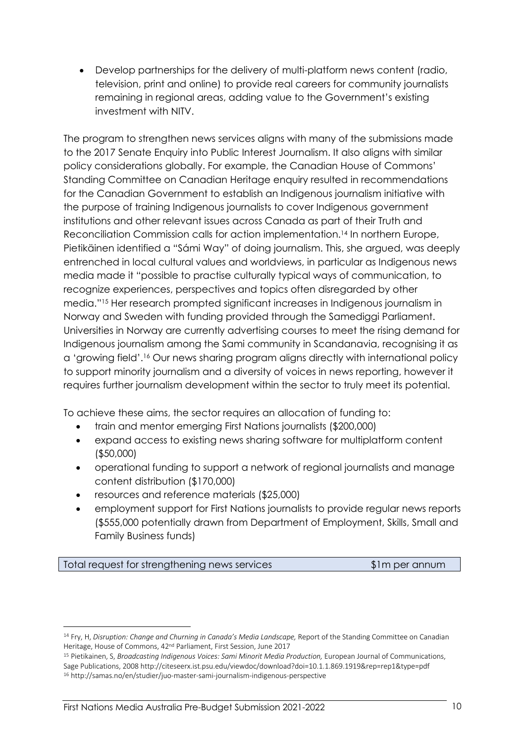• Develop partnerships for the delivery of multi-platform news content (radio, television, print and online) to provide real careers for community journalists remaining in regional areas, adding value to the Government's existing investment with NITV.

The program to strengthen news services aligns with many of the submissions made to the 2017 Senate Enquiry into Public Interest Journalism. It also aligns with similar policy considerations globally. For example, the Canadian House of Commons' Standing Committee on Canadian Heritage enquiry resulted in recommendations for the Canadian Government to establish an Indigenous journalism initiative with the purpose of training Indigenous journalists to cover Indigenous government institutions and other relevant issues across Canada as part of their Truth and Reconciliation Commission calls for action implementation. <sup>14</sup> In northern Europe, Pietikäinen identified a "Sámi Way" of doing journalism. This, she argued, was deeply entrenched in local cultural values and worldviews, in particular as Indigenous news media made it "possible to practise culturally typical ways of communication, to recognize experiences, perspectives and topics often disregarded by other media."15 Her research prompted significant increases in Indigenous journalism in Norway and Sweden with funding provided through the Samediggi Parliament. Universities in Norway are currently advertising courses to meet the rising demand for Indigenous journalism among the Sami community in Scandanavia, recognising it as a 'growing field'.16 Our news sharing program aligns directly with international policy to support minority journalism and a diversity of voices in news reporting, however it requires further journalism development within the sector to truly meet its potential.

To achieve these aims, the sector requires an allocation of funding to:

- train and mentor emerging First Nations journalists (\$200,000)
- expand access to existing news sharing software for multiplatform content (\$50,000)
- operational funding to support a network of regional journalists and manage content distribution (\$170,000)
- resources and reference materials (\$25,000)
- employment support for First Nations journalists to provide regular news reports (\$555,000 potentially drawn from Department of Employment, Skills, Small and Family Business funds)

Total request for strengthening news services  $$1m$  per annum

<sup>&</sup>lt;sup>14</sup> Fry, H, *Disruption: Change and Churning in Canada's Media Landscape*, Report of the Standing Committee on Canadian Heritage, House of Commons, 42nd Parliament, First Session, June 2017

<sup>&</sup>lt;sup>15</sup> Pietikainen, S, *Broadcasting Indigenous Voices: Sami Minorit Media Production*, European Journal of Communications, Sage Publications, 2008 http://citeseerx.ist.psu.edu/viewdoc/download?doi=10.1.1.869.1919&rep=rep1&type=pdf

<sup>16</sup> http://samas.no/en/studier/juo-master-sami-journalism-indigenous-perspective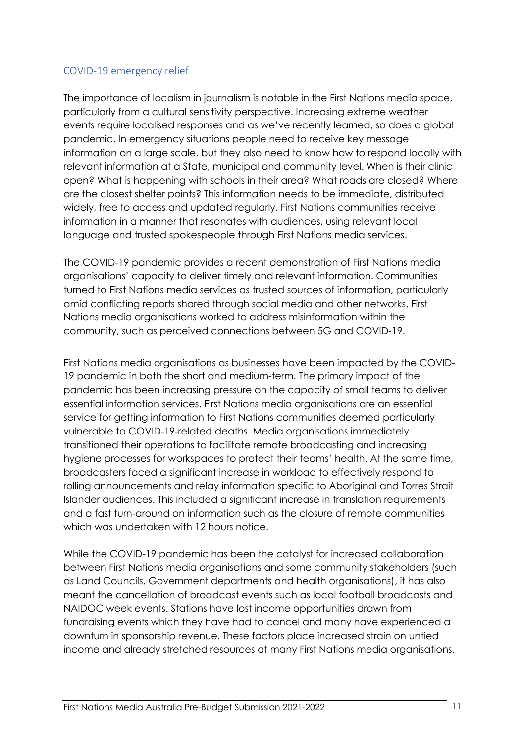# COVID-19 emergency relief

The importance of localism in journalism is notable in the First Nations media space, particularly from a cultural sensitivity perspective. Increasing extreme weather events require localised responses and as we've recently learned, so does a global pandemic. In emergency situations people need to receive key message information on a large scale, but they also need to know how to respond locally with relevant information at a State, municipal and community level. When is their clinic open? What is happening with schools in their area? What roads are closed? Where are the closest shelter points? This information needs to be immediate, distributed widely, free to access and updated regularly. First Nations communities receive information in a manner that resonates with audiences, using relevant local language and trusted spokespeople through First Nations media services.

The COVID-19 pandemic provides a recent demonstration of First Nations media organisations' capacity to deliver timely and relevant information. Communities turned to First Nations media services as trusted sources of information, particularly amid conflicting reports shared through social media and other networks. First Nations media organisations worked to address misinformation within the community, such as perceived connections between 5G and COVID-19.

First Nations media organisations as businesses have been impacted by the COVID-19 pandemic in both the short and medium-term. The primary impact of the pandemic has been increasing pressure on the capacity of small teams to deliver essential information services. First Nations media organisations are an essential service for getting information to First Nations communities deemed particularly vulnerable to COVID-19-related deaths. Media organisations immediately transitioned their operations to facilitate remote broadcasting and increasing hygiene processes for workspaces to protect their teams' health. At the same time, broadcasters faced a significant increase in workload to effectively respond to rolling announcements and relay information specific to Aboriginal and Torres Strait Islander audiences. This included a significant increase in translation requirements and a fast turn-around on information such as the closure of remote communities which was undertaken with 12 hours notice.

While the COVID-19 pandemic has been the catalyst for increased collaboration between First Nations media organisations and some community stakeholders (such as Land Councils, Government departments and health organisations), it has also meant the cancellation of broadcast events such as local football broadcasts and NAIDOC week events. Stations have lost income opportunities drawn from fundraising events which they have had to cancel and many have experienced a downturn in sponsorship revenue. These factors place increased strain on untied income and already stretched resources at many First Nations media organisations.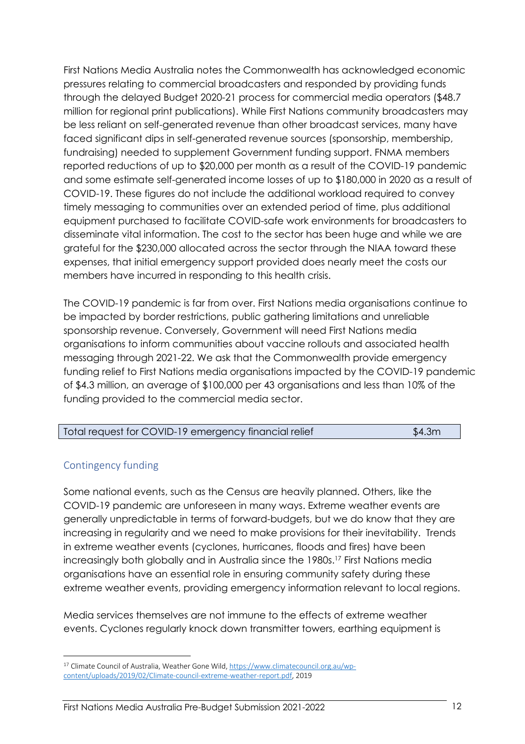First Nations Media Australia notes the Commonwealth has acknowledged economic pressures relating to commercial broadcasters and responded by providing funds through the delayed Budget 2020-21 process for commercial media operators (\$48.7 million for regional print publications). While First Nations community broadcasters may be less reliant on self-generated revenue than other broadcast services, many have faced significant dips in self-generated revenue sources (sponsorship, membership, fundraising) needed to supplement Government funding support. FNMA members reported reductions of up to \$20,000 per month as a result of the COVID-19 pandemic and some estimate self-generated income losses of up to \$180,000 in 2020 as a result of COVID-19. These figures do not include the additional workload required to convey timely messaging to communities over an extended period of time, plus additional equipment purchased to facilitate COVID-safe work environments for broadcasters to disseminate vital information. The cost to the sector has been huge and while we are grateful for the \$230,000 allocated across the sector through the NIAA toward these expenses, that initial emergency support provided does nearly meet the costs our members have incurred in responding to this health crisis.

The COVID-19 pandemic is far from over. First Nations media organisations continue to be impacted by border restrictions, public gathering limitations and unreliable sponsorship revenue. Conversely, Government will need First Nations media organisations to inform communities about vaccine rollouts and associated health messaging through 2021-22. We ask that the Commonwealth provide emergency funding relief to First Nations media organisations impacted by the COVID-19 pandemic of \$4.3 million, an average of \$100,000 per 43 organisations and less than 10% of the funding provided to the commercial media sector.

| Total request for COVID-19 emergency financial relief | \$4.3m |
|-------------------------------------------------------|--------|
|-------------------------------------------------------|--------|

# Contingency funding

Some national events, such as the Census are heavily planned. Others, like the COVID-19 pandemic are unforeseen in many ways. Extreme weather events are generally unpredictable in terms of forward-budgets, but we do know that they are increasing in regularity and we need to make provisions for their inevitability. Trends in extreme weather events (cyclones, hurricanes, floods and fires) have been increasingly both globally and in Australia since the 1980s.<sup>17</sup> First Nations media organisations have an essential role in ensuring community safety during these extreme weather events, providing emergency information relevant to local regions.

Media services themselves are not immune to the effects of extreme weather events. Cyclones regularly knock down transmitter towers, earthing equipment is

<sup>17</sup> Climate Council of Australia, Weather Gone Wild, https://www.climatecouncil.org.au/wpcontent/uploads/2019/02/Climate-council-extreme-weather-report.pdf, 2019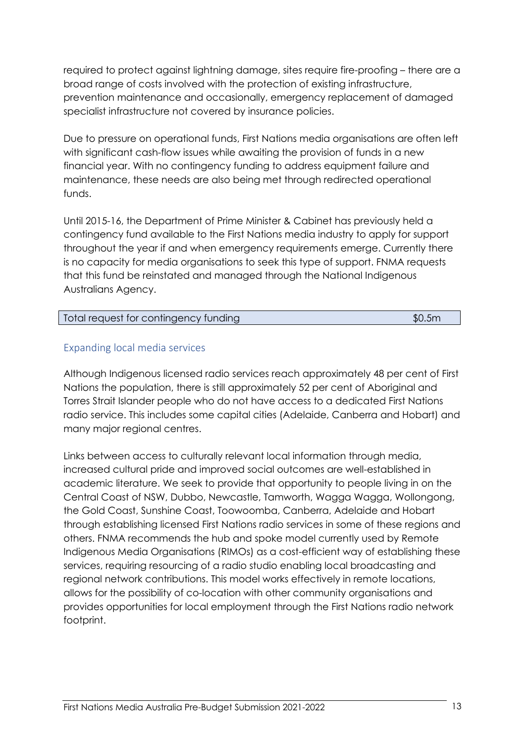required to protect against lightning damage, sites require fire-proofing – there are a broad range of costs involved with the protection of existing infrastructure, prevention maintenance and occasionally, emergency replacement of damaged specialist infrastructure not covered by insurance policies.

Due to pressure on operational funds, First Nations media organisations are often left with significant cash-flow issues while awaiting the provision of funds in a new financial year. With no contingency funding to address equipment failure and maintenance, these needs are also being met through redirected operational funds.

Until 2015-16, the Department of Prime Minister & Cabinet has previously held a contingency fund available to the First Nations media industry to apply for support throughout the year if and when emergency requirements emerge. Currently there is no capacity for media organisations to seek this type of support. FNMA requests that this fund be reinstated and managed through the National Indigenous Australians Agency.

| Total request for contingency funding | \$0.5m |
|---------------------------------------|--------|
|                                       |        |

# Expanding local media services

Although Indigenous licensed radio services reach approximately 48 per cent of First Nations the population, there is still approximately 52 per cent of Aboriginal and Torres Strait Islander people who do not have access to a dedicated First Nations radio service. This includes some capital cities (Adelaide, Canberra and Hobart) and many major regional centres.

Links between access to culturally relevant local information through media, increased cultural pride and improved social outcomes are well-established in academic literature. We seek to provide that opportunity to people living in on the Central Coast of NSW, Dubbo, Newcastle, Tamworth, Wagga Wagga, Wollongong, the Gold Coast, Sunshine Coast, Toowoomba, Canberra, Adelaide and Hobart through establishing licensed First Nations radio services in some of these regions and others. FNMA recommends the hub and spoke model currently used by Remote Indigenous Media Organisations (RIMOs) as a cost-efficient way of establishing these services, requiring resourcing of a radio studio enabling local broadcasting and regional network contributions. This model works effectively in remote locations, allows for the possibility of co-location with other community organisations and provides opportunities for local employment through the First Nations radio network footprint.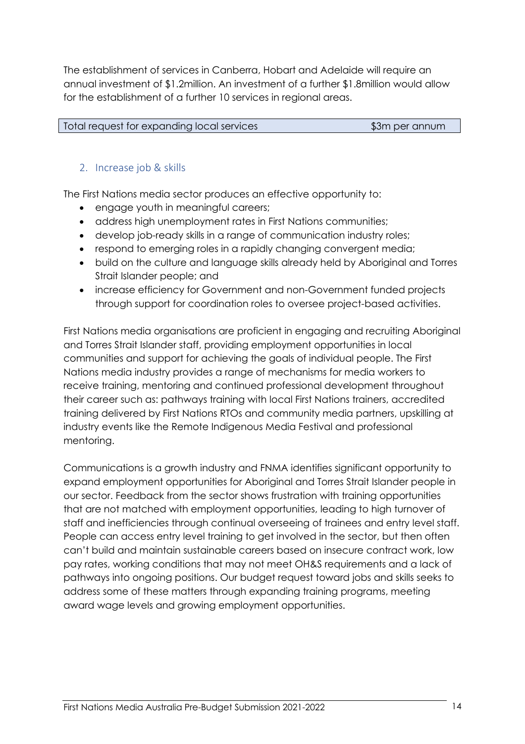The establishment of services in Canberra, Hobart and Adelaide will require an annual investment of \$1.2million. An investment of a further \$1.8million would allow for the establishment of a further 10 services in regional areas.

### 2. Increase job & skills

The First Nations media sector produces an effective opportunity to:

- engage youth in meaningful careers;
- address high unemployment rates in First Nations communities;
- develop job-ready skills in a range of communication industry roles;
- respond to emerging roles in a rapidly changing convergent media;
- build on the culture and language skills already held by Aboriginal and Torres Strait Islander people; and
- increase efficiency for Government and non-Government funded projects through support for coordination roles to oversee project-based activities.

First Nations media organisations are proficient in engaging and recruiting Aboriginal and Torres Strait Islander staff, providing employment opportunities in local communities and support for achieving the goals of individual people. The First Nations media industry provides a range of mechanisms for media workers to receive training, mentoring and continued professional development throughout their career such as: pathways training with local First Nations trainers, accredited training delivered by First Nations RTOs and community media partners, upskilling at industry events like the Remote Indigenous Media Festival and professional mentoring.

Communications is a growth industry and FNMA identifies significant opportunity to expand employment opportunities for Aboriginal and Torres Strait Islander people in our sector. Feedback from the sector shows frustration with training opportunities that are not matched with employment opportunities, leading to high turnover of staff and inefficiencies through continual overseeing of trainees and entry level staff. People can access entry level training to get involved in the sector, but then often can't build and maintain sustainable careers based on insecure contract work, low pay rates, working conditions that may not meet OH&S requirements and a lack of pathways into ongoing positions. Our budget request toward jobs and skills seeks to address some of these matters through expanding training programs, meeting award wage levels and growing employment opportunities.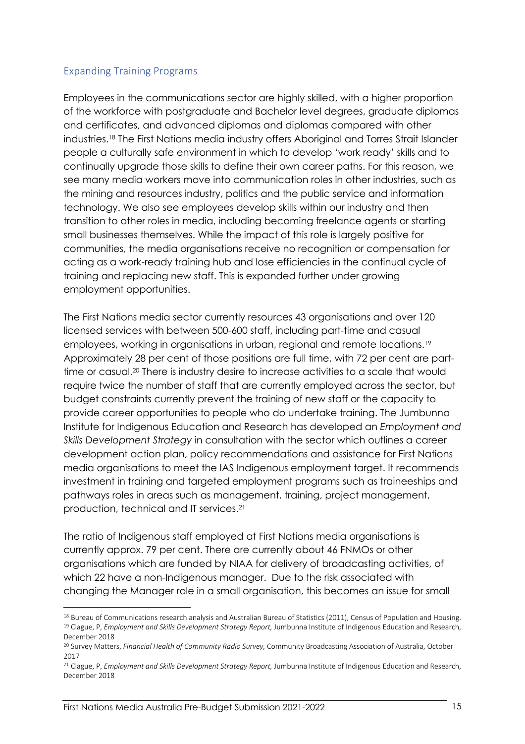# Expanding Training Programs

Employees in the communications sector are highly skilled, with a higher proportion of the workforce with postgraduate and Bachelor level degrees, graduate diplomas and certificates, and advanced diplomas and diplomas compared with other industries.18 The First Nations media industry offers Aboriginal and Torres Strait Islander people a culturally safe environment in which to develop 'work ready' skills and to continually upgrade those skills to define their own career paths. For this reason, we see many media workers move into communication roles in other industries, such as the mining and resources industry, politics and the public service and information technology. We also see employees develop skills within our industry and then transition to other roles in media, including becoming freelance agents or starting small businesses themselves. While the impact of this role is largely positive for communities, the media organisations receive no recognition or compensation for acting as a work-ready training hub and lose efficiencies in the continual cycle of training and replacing new staff. This is expanded further under growing employment opportunities.

The First Nations media sector currently resources 43 organisations and over 120 licensed services with between 500-600 staff, including part-time and casual employees, working in organisations in urban, regional and remote locations.19 Approximately 28 per cent of those positions are full time, with 72 per cent are parttime or casual.<sup>20</sup> There is industry desire to increase activities to a scale that would require twice the number of staff that are currently employed across the sector, but budget constraints currently prevent the training of new staff or the capacity to provide career opportunities to people who do undertake training. The Jumbunna Institute for Indigenous Education and Research has developed an *Employment and Skills Development Strategy* in consultation with the sector which outlines a career development action plan, policy recommendations and assistance for First Nations media organisations to meet the IAS Indigenous employment target. It recommends investment in training and targeted employment programs such as traineeships and pathways roles in areas such as management, training, project management, production, technical and IT services.21

The ratio of Indigenous staff employed at First Nations media organisations is currently approx. 79 per cent. There are currently about 46 FNMOs or other organisations which are funded by NIAA for delivery of broadcasting activities, of which 22 have a non-Indigenous manager. Due to the risk associated with changing the Manager role in a small organisation, this becomes an issue for small

<sup>&</sup>lt;sup>18</sup> Bureau of Communications research analysis and Australian Bureau of Statistics (2011), Census of Population and Housing. <sup>19</sup> Clague, P, *Employment and Skills Development Strategy Report,* Jumbunna Institute of Indigenous Education and Research, December 2018

<sup>20</sup> Survey Matters, *Financial Health of Community Radio Survey,* Community Broadcasting Association of Australia, October 2017

<sup>21</sup> Clague, P, *Employment and Skills Development Strategy Report,* Jumbunna Institute of Indigenous Education and Research, December 2018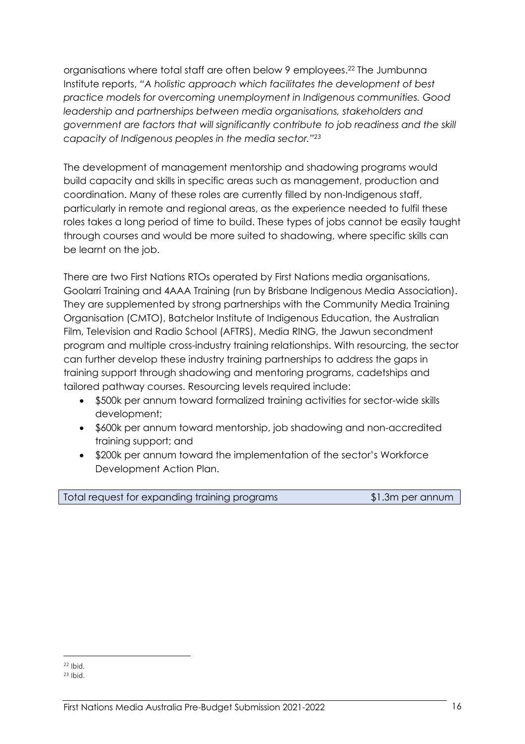organisations where total staff are often below 9 employees.<sup>22</sup> The Jumbunna Institute reports, *"A holistic approach which facilitates the development of best practice models for overcoming unemployment in Indigenous communities. Good leadership and partnerships between media organisations, stakeholders and government are factors that will significantly contribute to job readiness and the skill capacity of Indigenous peoples in the media sector."23*

The development of management mentorship and shadowing programs would build capacity and skills in specific areas such as management, production and coordination. Many of these roles are currently filled by non-Indigenous staff, particularly in remote and regional areas, as the experience needed to fulfil these roles takes a long period of time to build. These types of jobs cannot be easily taught through courses and would be more suited to shadowing, where specific skills can be learnt on the job.

There are two First Nations RTOs operated by First Nations media organisations, Goolarri Training and 4AAA Training (run by Brisbane Indigenous Media Association). They are supplemented by strong partnerships with the Community Media Training Organisation (CMTO), Batchelor Institute of Indigenous Education, the Australian Film, Television and Radio School (AFTRS), Media RING, the Jawun secondment program and multiple cross-industry training relationships. With resourcing, the sector can further develop these industry training partnerships to address the gaps in training support through shadowing and mentoring programs, cadetships and tailored pathway courses. Resourcing levels required include:

- \$500k per annum toward formalized training activities for sector-wide skills development;
- \$600k per annum toward mentorship, job shadowing and non-accredited training support; and
- \$200k per annum toward the implementation of the sector's Workforce Development Action Plan.

#### Total request for expanding training programs \$1.3m per annum

<sup>22</sup> Ibid.

<sup>23</sup> Ibid.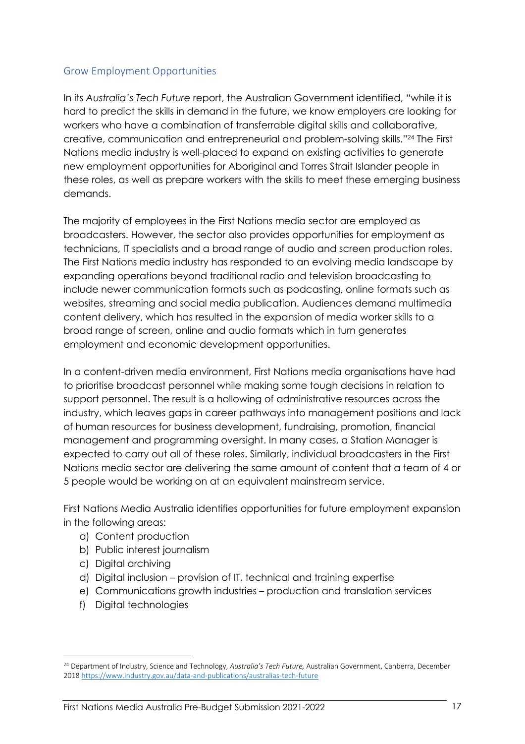# Grow Employment Opportunities

In its *Australia's Tech Future* report, the Australian Government identified, "while it is hard to predict the skills in demand in the future, we know employers are looking for workers who have a combination of transferrable digital skills and collaborative, creative, communication and entrepreneurial and problem-solving skills."24 The First Nations media industry is well-placed to expand on existing activities to generate new employment opportunities for Aboriginal and Torres Strait Islander people in these roles, as well as prepare workers with the skills to meet these emerging business demands.

The majority of employees in the First Nations media sector are employed as broadcasters. However, the sector also provides opportunities for employment as technicians, IT specialists and a broad range of audio and screen production roles. The First Nations media industry has responded to an evolving media landscape by expanding operations beyond traditional radio and television broadcasting to include newer communication formats such as podcasting, online formats such as websites, streaming and social media publication. Audiences demand multimedia content delivery, which has resulted in the expansion of media worker skills to a broad range of screen, online and audio formats which in turn generates employment and economic development opportunities.

In a content-driven media environment, First Nations media organisations have had to prioritise broadcast personnel while making some tough decisions in relation to support personnel. The result is a hollowing of administrative resources across the industry, which leaves gaps in career pathways into management positions and lack of human resources for business development, fundraising, promotion, financial management and programming oversight. In many cases, a Station Manager is expected to carry out all of these roles. Similarly, individual broadcasters in the First Nations media sector are delivering the same amount of content that a team of 4 or 5 people would be working on at an equivalent mainstream service.

First Nations Media Australia identifies opportunities for future employment expansion in the following areas:

- a) Content production
- b) Public interest journalism
- c) Digital archiving
- d) Digital inclusion provision of IT, technical and training expertise
- e) Communications growth industries production and translation services
- f) Digital technologies

<sup>24</sup> Department of Industry, Science and Technology, *Australia's Tech Future,* Australian Government, Canberra, December 2018 https://www.industry.gov.au/data-and-publications/australias-tech-future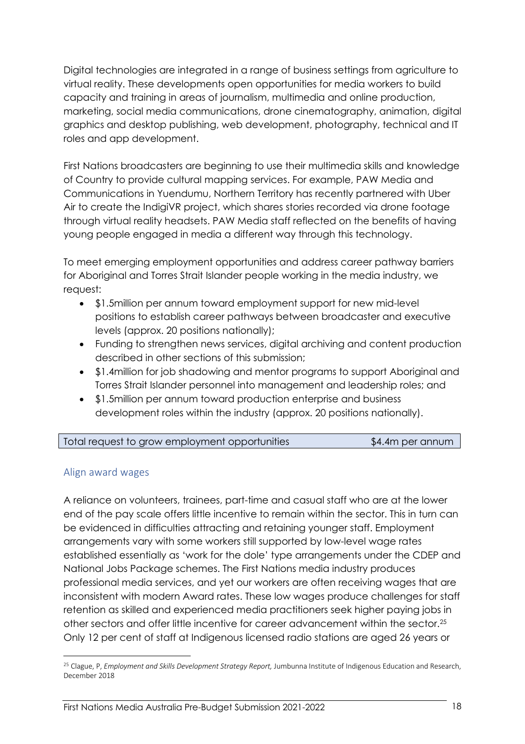Digital technologies are integrated in a range of business settings from agriculture to virtual reality. These developments open opportunities for media workers to build capacity and training in areas of journalism, multimedia and online production, marketing, social media communications, drone cinematography, animation, digital graphics and desktop publishing, web development, photography, technical and IT roles and app development.

First Nations broadcasters are beginning to use their multimedia skills and knowledge of Country to provide cultural mapping services. For example, PAW Media and Communications in Yuendumu, Northern Territory has recently partnered with Uber Air to create the IndigiVR project, which shares stories recorded via drone footage through virtual reality headsets. PAW Media staff reflected on the benefits of having young people engaged in media a different way through this technology.

To meet emerging employment opportunities and address career pathway barriers for Aboriginal and Torres Strait Islander people working in the media industry, we request:

- \$1.5million per annum toward employment support for new mid-level positions to establish career pathways between broadcaster and executive levels (approx. 20 positions nationally);
- Funding to strengthen news services, digital archiving and content production described in other sections of this submission;
- \$1.4million for job shadowing and mentor programs to support Aboriginal and Torres Strait Islander personnel into management and leadership roles; and
- \$1.5million per annum toward production enterprise and business development roles within the industry (approx. 20 positions nationally).

| Total request to grow employment opportunities | \$4.4m per annum |
|------------------------------------------------|------------------|
|------------------------------------------------|------------------|

## Align award wages

A reliance on volunteers, trainees, part-time and casual staff who are at the lower end of the pay scale offers little incentive to remain within the sector. This in turn can be evidenced in difficulties attracting and retaining younger staff. Employment arrangements vary with some workers still supported by low-level wage rates established essentially as 'work for the dole' type arrangements under the CDEP and National Jobs Package schemes. The First Nations media industry produces professional media services, and yet our workers are often receiving wages that are inconsistent with modern Award rates. These low wages produce challenges for staff retention as skilled and experienced media practitioners seek higher paying jobs in other sectors and offer little incentive for career advancement within the sector.25 Only 12 per cent of staff at Indigenous licensed radio stations are aged 26 years or

<sup>25</sup> Clague, P, *Employment and Skills Development Strategy Report,* Jumbunna Institute of Indigenous Education and Research, December 2018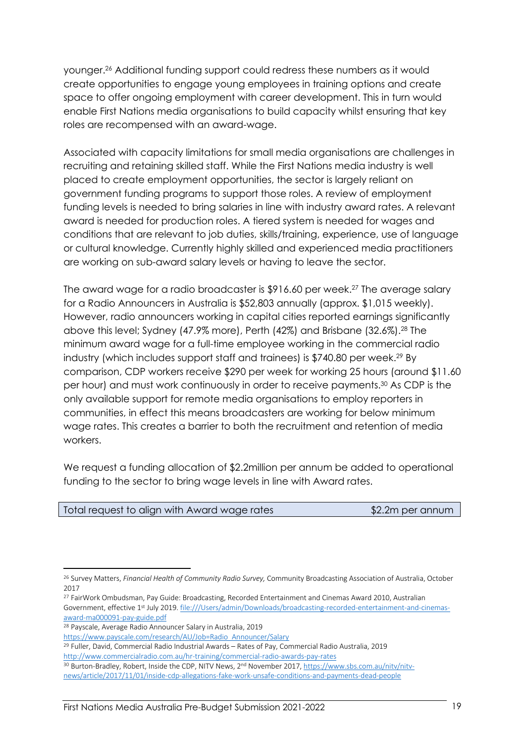younger.26 Additional funding support could redress these numbers as it would create opportunities to engage young employees in training options and create space to offer ongoing employment with career development. This in turn would enable First Nations media organisations to build capacity whilst ensuring that key roles are recompensed with an award-wage.

Associated with capacity limitations for small media organisations are challenges in recruiting and retaining skilled staff. While the First Nations media industry is well placed to create employment opportunities, the sector is largely reliant on government funding programs to support those roles. A review of employment funding levels is needed to bring salaries in line with industry award rates. A relevant award is needed for production roles. A tiered system is needed for wages and conditions that are relevant to job duties, skills/training, experience, use of language or cultural knowledge. Currently highly skilled and experienced media practitioners are working on sub-award salary levels or having to leave the sector.

The award wage for a radio broadcaster is \$916.60 per week.27 The average salary for a Radio Announcers in Australia is \$52,803 annually (approx. \$1,015 weekly). However, radio announcers working in capital cities reported earnings significantly above this level; Sydney (47.9% more), Perth (42%) and Brisbane (32.6%). <sup>28</sup> The minimum award wage for a full-time employee working in the commercial radio industry (which includes support staff and trainees) is \$740.80 per week.29 By comparison, CDP workers receive \$290 per week for working 25 hours (around \$11.60 per hour) and must work continuously in order to receive payments.30 As CDP is the only available support for remote media organisations to employ reporters in communities, in effect this means broadcasters are working for below minimum wage rates. This creates a barrier to both the recruitment and retention of media workers.

We request a funding allocation of \$2.2million per annum be added to operational funding to the sector to bring wage levels in line with Award rates.

| Total request to align with Award wage rates | \$2.2m per annum |
|----------------------------------------------|------------------|
|----------------------------------------------|------------------|

<sup>26</sup> Survey Matters, *Financial Health of Community Radio Survey,* Community Broadcasting Association of Australia, October 2017

<sup>27</sup> FairWork Ombudsman, Pay Guide: Broadcasting, Recorded Entertainment and Cinemas Award 2010, Australian Government, effective 1st July 2019. file:///Users/admin/Downloads/broadcasting-recorded-entertainment-and-cinemasaward-ma000091-pay-guide.pdf

<sup>28</sup> Payscale, Average Radio Announcer Salary in Australia, 2019

https://www.payscale.com/research/AU/Job=Radio\_Announcer/Salary

<sup>29</sup> Fuller, David, Commercial Radio Industrial Awards – Rates of Pay, Commercial Radio Australia, 2019 http://www.commercialradio.com.au/hr-training/commercial-radio-awards-pay-rates

<sup>&</sup>lt;sup>30</sup> Burton-Bradley, Robert, Inside the CDP, NITV News, 2<sup>nd</sup> November 2017, https://www.sbs.com.au/nitv/nitvnews/article/2017/11/01/inside-cdp-allegations-fake-work-unsafe-conditions-and-payments-dead-people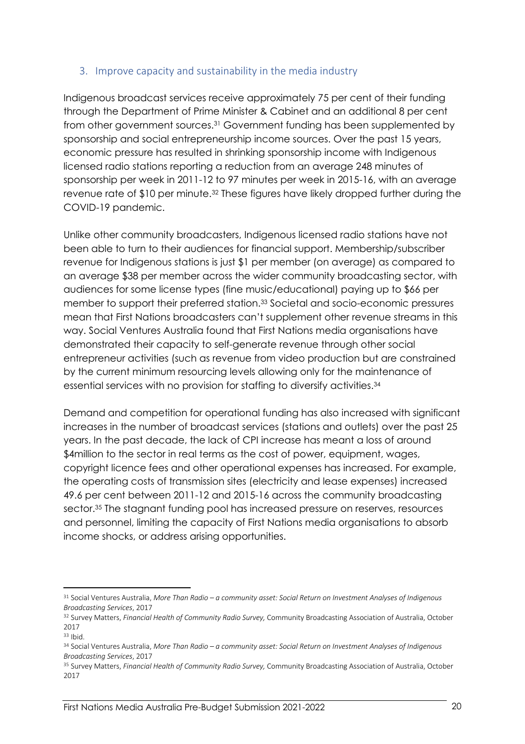### 3. Improve capacity and sustainability in the media industry

Indigenous broadcast services receive approximately 75 per cent of their funding through the Department of Prime Minister & Cabinet and an additional 8 per cent from other government sources.31 Government funding has been supplemented by sponsorship and social entrepreneurship income sources. Over the past 15 years, economic pressure has resulted in shrinking sponsorship income with Indigenous licensed radio stations reporting a reduction from an average 248 minutes of sponsorship per week in 2011-12 to 97 minutes per week in 2015-16, with an average revenue rate of \$10 per minute.32 These figures have likely dropped further during the COVID-19 pandemic.

Unlike other community broadcasters, Indigenous licensed radio stations have not been able to turn to their audiences for financial support. Membership/subscriber revenue for Indigenous stations is just \$1 per member (on average) as compared to an average \$38 per member across the wider community broadcasting sector, with audiences for some license types (fine music/educational) paying up to \$66 per member to support their preferred station.<sup>33</sup> Societal and socio-economic pressures mean that First Nations broadcasters can't supplement other revenue streams in this way. Social Ventures Australia found that First Nations media organisations have demonstrated their capacity to self-generate revenue through other social entrepreneur activities (such as revenue from video production but are constrained by the current minimum resourcing levels allowing only for the maintenance of essential services with no provision for staffing to diversify activities.<sup>34</sup>

Demand and competition for operational funding has also increased with significant increases in the number of broadcast services (stations and outlets) over the past 25 years. In the past decade, the lack of CPI increase has meant a loss of around \$4 million to the sector in real terms as the cost of power, equipment, wages, copyright licence fees and other operational expenses has increased. For example, the operating costs of transmission sites (electricity and lease expenses) increased 49.6 per cent between 2011-12 and 2015-16 across the community broadcasting sector.35 The stagnant funding pool has increased pressure on reserves, resources and personnel, limiting the capacity of First Nations media organisations to absorb income shocks, or address arising opportunities.

<sup>31</sup> Social Ventures Australia, *More Than Radio – a community asset: Social Return on Investment Analyses of Indigenous Broadcasting Services, 2017*<br><sup>32</sup> Survey Matters, *Financial Health of Community Radio Survey, Community Broadcasting Association of Australia, October* 

<sup>2017</sup>

<sup>33</sup> Ibid.

<sup>34</sup> Social Ventures Australia, *More Than Radio – a community asset: Social Return on Investment Analyses of Indigenous Broadcasting Services*, 2017

<sup>35</sup> Survey Matters, *Financial Health of Community Radio Survey,* Community Broadcasting Association of Australia, October 2017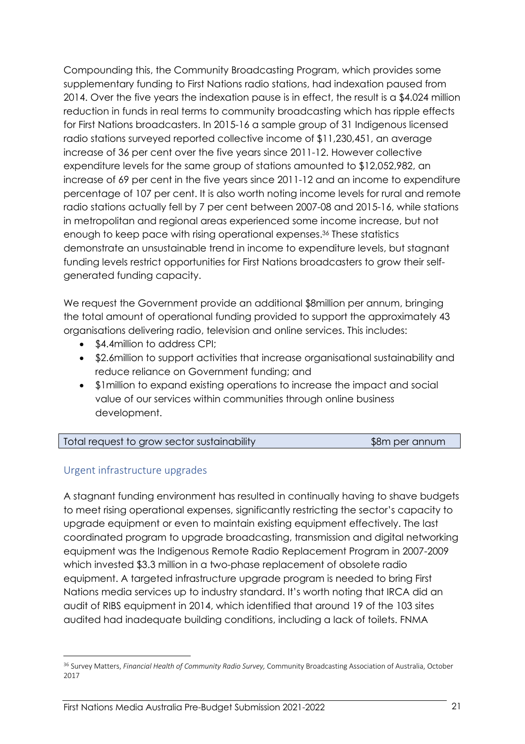Compounding this, the Community Broadcasting Program, which provides some supplementary funding to First Nations radio stations, had indexation paused from 2014. Over the five years the indexation pause is in effect, the result is a \$4.024 million reduction in funds in real terms to community broadcasting which has ripple effects for First Nations broadcasters. In 2015-16 a sample group of 31 Indigenous licensed radio stations surveyed reported collective income of \$11,230,451, an average increase of 36 per cent over the five years since 2011-12. However collective expenditure levels for the same group of stations amounted to \$12,052,982, an increase of 69 per cent in the five years since 2011-12 and an income to expenditure percentage of 107 per cent. It is also worth noting income levels for rural and remote radio stations actually fell by 7 per cent between 2007-08 and 2015-16, while stations in metropolitan and regional areas experienced some income increase, but not enough to keep pace with rising operational expenses.36 These statistics demonstrate an unsustainable trend in income to expenditure levels, but stagnant funding levels restrict opportunities for First Nations broadcasters to grow their selfgenerated funding capacity.

We request the Government provide an additional \$8million per annum, bringing the total amount of operational funding provided to support the approximately 43 organisations delivering radio, television and online services. This includes:

- \$4.4million to address CPI;
- \$2.6million to support activities that increase organisational sustainability and reduce reliance on Government funding; and
- \$1million to expand existing operations to increase the impact and social value of our services within communities through online business development.

|  | Total request to grow sector sustainability | \$8m per annum |
|--|---------------------------------------------|----------------|
|--|---------------------------------------------|----------------|

## Urgent infrastructure upgrades

A stagnant funding environment has resulted in continually having to shave budgets to meet rising operational expenses, significantly restricting the sector's capacity to upgrade equipment or even to maintain existing equipment effectively. The last coordinated program to upgrade broadcasting, transmission and digital networking equipment was the Indigenous Remote Radio Replacement Program in 2007-2009 which invested \$3.3 million in a two-phase replacement of obsolete radio equipment. A targeted infrastructure upgrade program is needed to bring First Nations media services up to industry standard. It's worth noting that IRCA did an audit of RIBS equipment in 2014, which identified that around 19 of the 103 sites audited had inadequate building conditions, including a lack of toilets. FNMA

<sup>36</sup> Survey Matters, *Financial Health of Community Radio Survey,* Community Broadcasting Association of Australia, October 2017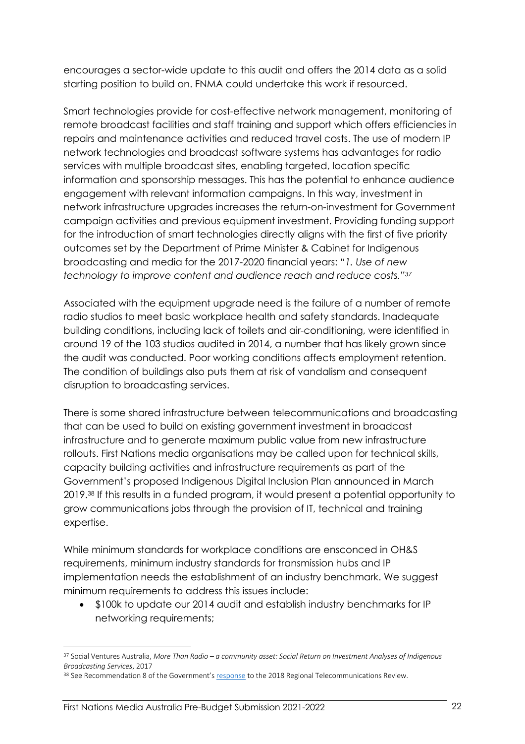encourages a sector-wide update to this audit and offers the 2014 data as a solid starting position to build on. FNMA could undertake this work if resourced.

Smart technologies provide for cost-effective network management, monitoring of remote broadcast facilities and staff training and support which offers efficiencies in repairs and maintenance activities and reduced travel costs. The use of modern IP network technologies and broadcast software systems has advantages for radio services with multiple broadcast sites, enabling targeted, location specific information and sponsorship messages. This has the potential to enhance audience engagement with relevant information campaigns. In this way, investment in network infrastructure upgrades increases the return-on-investment for Government campaign activities and previous equipment investment. Providing funding support for the introduction of smart technologies directly aligns with the first of five priority outcomes set by the Department of Prime Minister & Cabinet for Indigenous broadcasting and media for the 2017-2020 financial years: *"1. Use of new technology to improve content and audience reach and reduce costs."37*

Associated with the equipment upgrade need is the failure of a number of remote radio studios to meet basic workplace health and safety standards. Inadequate building conditions, including lack of toilets and air-conditioning, were identified in around 19 of the 103 studios audited in 2014, a number that has likely grown since the audit was conducted. Poor working conditions affects employment retention. The condition of buildings also puts them at risk of vandalism and consequent disruption to broadcasting services.

There is some shared infrastructure between telecommunications and broadcasting that can be used to build on existing government investment in broadcast infrastructure and to generate maximum public value from new infrastructure rollouts. First Nations media organisations may be called upon for technical skills, capacity building activities and infrastructure requirements as part of the Government's proposed Indigenous Digital Inclusion Plan announced in March 2019.38 If this results in a funded program, it would present a potential opportunity to grow communications jobs through the provision of IT, technical and training expertise.

While minimum standards for workplace conditions are ensconced in OH&S requirements, minimum industry standards for transmission hubs and IP implementation needs the establishment of an industry benchmark. We suggest minimum requirements to address this issues include:

• \$100k to update our 2014 audit and establish industry benchmarks for IP networking requirements;

<sup>37</sup> Social Ventures Australia, *More Than Radio – a community asset: Social Return on Investment Analyses of Indigenous Broadcasting Services*, 2017

<sup>38</sup> See Recommendation 8 of the Government's response to the 2018 Regional Telecommunications Review.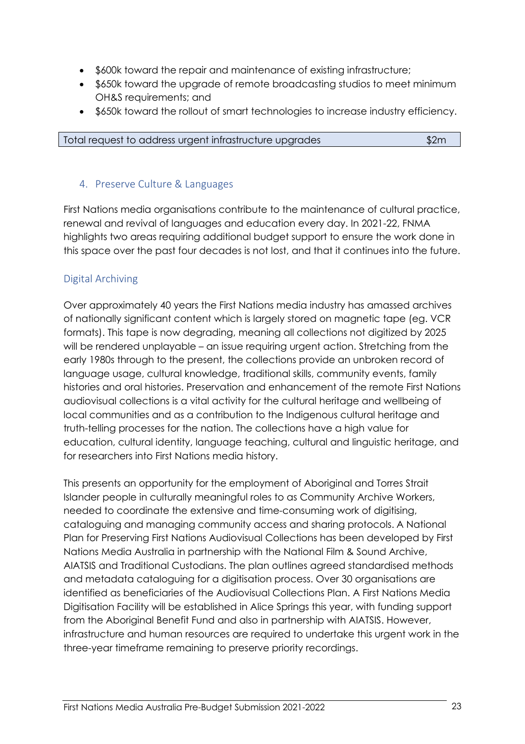- \$600k toward the repair and maintenance of existing infrastructure;
- \$650k toward the upgrade of remote broadcasting studios to meet minimum OH&S requirements; and
- \$650k toward the rollout of smart technologies to increase industry efficiency.

| Total request to address urgent infrastructure upgrades | \$2m |
|---------------------------------------------------------|------|
|                                                         |      |

#### 4. Preserve Culture & Languages

First Nations media organisations contribute to the maintenance of cultural practice, renewal and revival of languages and education every day. In 2021-22, FNMA highlights two areas requiring additional budget support to ensure the work done in this space over the past four decades is not lost, and that it continues into the future.

#### Digital Archiving

Over approximately 40 years the First Nations media industry has amassed archives of nationally significant content which is largely stored on magnetic tape (eg. VCR formats). This tape is now degrading, meaning all collections not digitized by 2025 will be rendered unplayable – an issue requiring urgent action. Stretching from the early 1980s through to the present, the collections provide an unbroken record of language usage, cultural knowledge, traditional skills, community events, family histories and oral histories. Preservation and enhancement of the remote First Nations audiovisual collections is a vital activity for the cultural heritage and wellbeing of local communities and as a contribution to the Indigenous cultural heritage and truth-telling processes for the nation. The collections have a high value for education, cultural identity, language teaching, cultural and linguistic heritage, and for researchers into First Nations media history.

This presents an opportunity for the employment of Aboriginal and Torres Strait Islander people in culturally meaningful roles to as Community Archive Workers, needed to coordinate the extensive and time-consuming work of digitising, cataloguing and managing community access and sharing protocols. A National Plan for Preserving First Nations Audiovisual Collections has been developed by First Nations Media Australia in partnership with the National Film & Sound Archive, AIATSIS and Traditional Custodians. The plan outlines agreed standardised methods and metadata cataloguing for a digitisation process. Over 30 organisations are identified as beneficiaries of the Audiovisual Collections Plan. A First Nations Media Digitisation Facility will be established in Alice Springs this year, with funding support from the Aboriginal Benefit Fund and also in partnership with AIATSIS. However, infrastructure and human resources are required to undertake this urgent work in the three-year timeframe remaining to preserve priority recordings.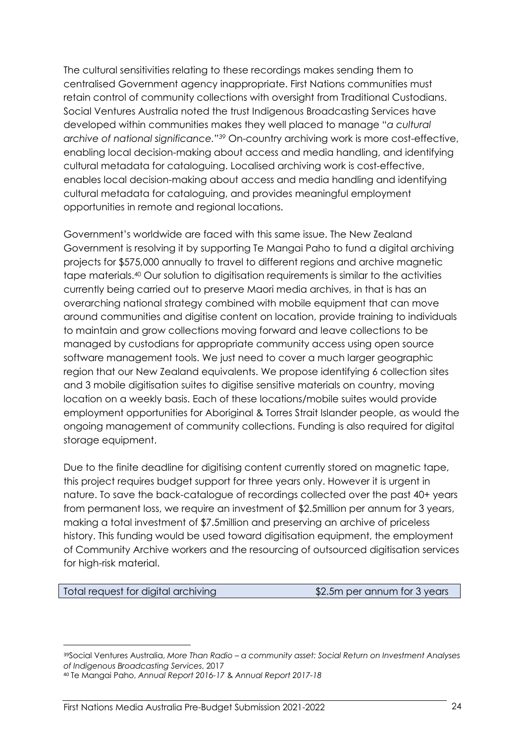The cultural sensitivities relating to these recordings makes sending them to centralised Government agency inappropriate. First Nations communities must retain control of community collections with oversight from Traditional Custodians. Social Ventures Australia noted the trust Indigenous Broadcasting Services have developed within communities makes they well placed to manage "*a cultural archive of national significance."39* On-country archiving work is more cost-effective, enabling local decision-making about access and media handling, and identifying cultural metadata for cataloguing. Localised archiving work is cost-effective, enables local decision-making about access and media handling and identifying cultural metadata for cataloguing, and provides meaningful employment opportunities in remote and regional locations.

Government's worldwide are faced with this same issue. The New Zealand Government is resolving it by supporting Te Mangai Paho to fund a digital archiving projects for \$575,000 annually to travel to different regions and archive magnetic tape materials.40 Our solution to digitisation requirements is similar to the activities currently being carried out to preserve Maori media archives, in that is has an overarching national strategy combined with mobile equipment that can move around communities and digitise content on location, provide training to individuals to maintain and grow collections moving forward and leave collections to be managed by custodians for appropriate community access using open source software management tools. We just need to cover a much larger geographic region that our New Zealand equivalents. We propose identifying 6 collection sites and 3 mobile digitisation suites to digitise sensitive materials on country, moving location on a weekly basis. Each of these locations/mobile suites would provide employment opportunities for Aboriginal & Torres Strait Islander people, as would the ongoing management of community collections. Funding is also required for digital storage equipment.

Due to the finite deadline for digitising content currently stored on magnetic tape, this project requires budget support for three years only. However it is urgent in nature. To save the back-catalogue of recordings collected over the past 40+ years from permanent loss, we require an investment of \$2.5million per annum for 3 years, making a total investment of \$7.5million and preserving an archive of priceless history. This funding would be used toward digitisation equipment, the employment of Community Archive workers and the resourcing of outsourced digitisation services for high-risk material.

Total request for digital archiving \$2.5m per annum for 3 years

<sup>39</sup>Social Ventures Australia, *More Than Radio – a community asset: Social Return on Investment Analyses of Indigenous Broadcasting Services*, 2017

<sup>40</sup> Te Mangai Paho, *Annual Report 2016-17* & *Annual Report 2017-18*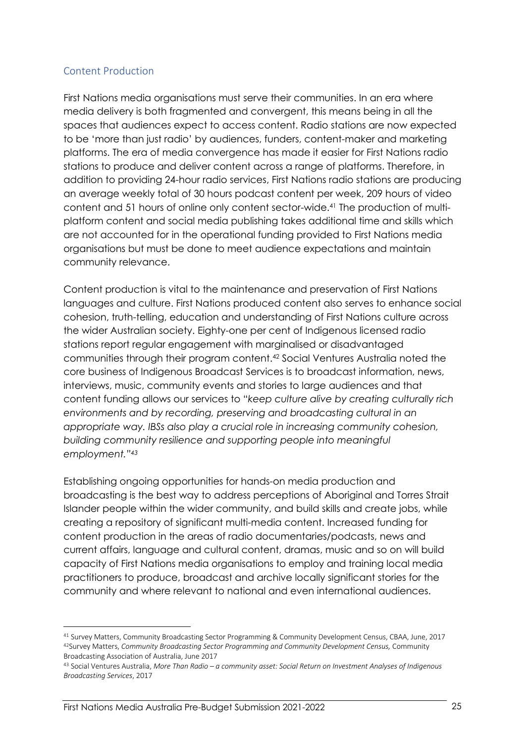# Content Production

First Nations media organisations must serve their communities. In an era where media delivery is both fragmented and convergent, this means being in all the spaces that audiences expect to access content. Radio stations are now expected to be 'more than just radio' by audiences, funders, content-maker and marketing platforms. The era of media convergence has made it easier for First Nations radio stations to produce and deliver content across a range of platforms. Therefore, in addition to providing 24-hour radio services, First Nations radio stations are producing an average weekly total of 30 hours podcast content per week, 209 hours of video content and 51 hours of online only content sector-wide. <sup>41</sup> The production of multiplatform content and social media publishing takes additional time and skills which are not accounted for in the operational funding provided to First Nations media organisations but must be done to meet audience expectations and maintain community relevance.

Content production is vital to the maintenance and preservation of First Nations languages and culture. First Nations produced content also serves to enhance social cohesion, truth-telling, education and understanding of First Nations culture across the wider Australian society. Eighty-one per cent of Indigenous licensed radio stations report regular engagement with marginalised or disadvantaged communities through their program content.42 Social Ventures Australia noted the core business of Indigenous Broadcast Services is to broadcast information, news, interviews, music, community events and stories to large audiences and that content funding allows our services to "*keep culture alive by creating culturally rich environments and by recording, preserving and broadcasting cultural in an appropriate way. IBSs also play a crucial role in increasing community cohesion, building community resilience and supporting people into meaningful employment."43*

Establishing ongoing opportunities for hands-on media production and broadcasting is the best way to address perceptions of Aboriginal and Torres Strait Islander people within the wider community, and build skills and create jobs, while creating a repository of significant multi-media content. Increased funding for content production in the areas of radio documentaries/podcasts, news and current affairs, language and cultural content, dramas, music and so on will build capacity of First Nations media organisations to employ and training local media practitioners to produce, broadcast and archive locally significant stories for the community and where relevant to national and even international audiences.

<sup>41</sup> Survey Matters, Community Broadcasting Sector Programming & Community Development Census, CBAA, June, 2017 42Survey Matters, *Community Broadcasting Sector Programming and Community Development Census,* Community Broadcasting Association of Australia, June 2017

<sup>43</sup> Social Ventures Australia, *More Than Radio – a community asset: Social Return on Investment Analyses of Indigenous Broadcasting Services*, 2017